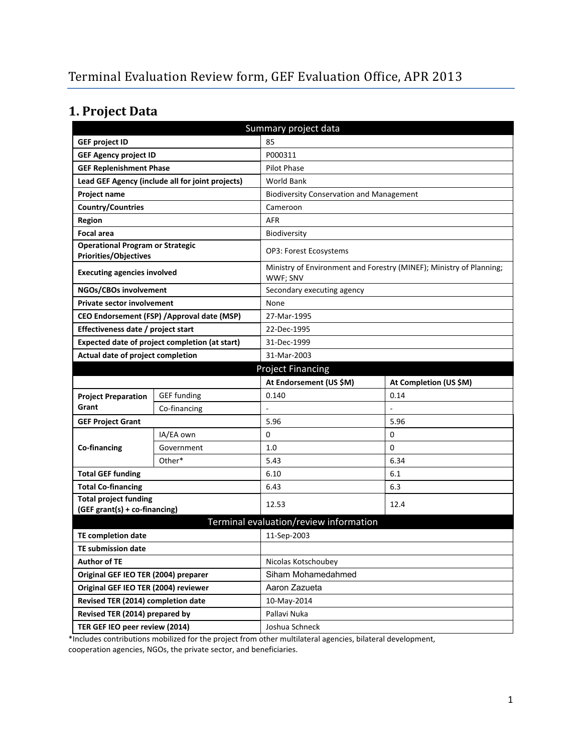# **1. Project Data**

| Summary project data                                                    |                                                  |                                                 |                                                                     |  |  |
|-------------------------------------------------------------------------|--------------------------------------------------|-------------------------------------------------|---------------------------------------------------------------------|--|--|
| <b>GEF project ID</b>                                                   |                                                  | 85                                              |                                                                     |  |  |
| <b>GEF Agency project ID</b>                                            |                                                  | P000311                                         |                                                                     |  |  |
| <b>GEF Replenishment Phase</b>                                          |                                                  | Pilot Phase                                     |                                                                     |  |  |
|                                                                         | Lead GEF Agency (include all for joint projects) | <b>World Bank</b>                               |                                                                     |  |  |
| Project name                                                            |                                                  | <b>Biodiversity Conservation and Management</b> |                                                                     |  |  |
| <b>Country/Countries</b>                                                |                                                  | Cameroon                                        |                                                                     |  |  |
| Region                                                                  |                                                  | <b>AFR</b>                                      |                                                                     |  |  |
| <b>Focal area</b>                                                       |                                                  | Biodiversity                                    |                                                                     |  |  |
| <b>Operational Program or Strategic</b><br><b>Priorities/Objectives</b> |                                                  | <b>OP3: Forest Ecosystems</b>                   |                                                                     |  |  |
| <b>Executing agencies involved</b>                                      |                                                  | WWF; SNV                                        | Ministry of Environment and Forestry (MINEF); Ministry of Planning; |  |  |
| NGOs/CBOs involvement                                                   |                                                  | Secondary executing agency                      |                                                                     |  |  |
| Private sector involvement                                              |                                                  | None                                            |                                                                     |  |  |
| CEO Endorsement (FSP) / Approval date (MSP)                             |                                                  | 27-Mar-1995                                     |                                                                     |  |  |
| Effectiveness date / project start                                      |                                                  | 22-Dec-1995                                     |                                                                     |  |  |
| Expected date of project completion (at start)                          |                                                  | 31-Dec-1999                                     |                                                                     |  |  |
| Actual date of project completion                                       |                                                  | 31-Mar-2003                                     |                                                                     |  |  |
| <b>Project Financing</b>                                                |                                                  |                                                 |                                                                     |  |  |
|                                                                         |                                                  | At Endorsement (US \$M)                         | At Completion (US \$M)                                              |  |  |
| <b>Project Preparation</b>                                              | <b>GEF funding</b>                               | 0.140                                           | 0.14                                                                |  |  |
| Grant                                                                   | Co-financing                                     |                                                 |                                                                     |  |  |
| <b>GEF Project Grant</b>                                                |                                                  | 5.96                                            | 5.96                                                                |  |  |
|                                                                         | IA/EA own                                        | 0                                               | 0                                                                   |  |  |
| Co-financing                                                            | Government                                       | 1.0                                             | 0                                                                   |  |  |
|                                                                         | Other*                                           | 5.43                                            | 6.34                                                                |  |  |
| <b>Total GEF funding</b>                                                |                                                  | 6.10                                            | 6.1                                                                 |  |  |
| <b>Total Co-financing</b>                                               |                                                  | 6.43                                            | 6.3                                                                 |  |  |
| <b>Total project funding</b><br>(GEF grant(s) + co-financing)           |                                                  | 12.53                                           | 12.4                                                                |  |  |
|                                                                         |                                                  | Terminal evaluation/review information          |                                                                     |  |  |
| <b>TE completion date</b>                                               |                                                  | 11-Sep-2003                                     |                                                                     |  |  |
| TE submission date                                                      |                                                  |                                                 |                                                                     |  |  |
| <b>Author of TE</b>                                                     |                                                  | Nicolas Kotschoubey                             |                                                                     |  |  |
| Original GEF IEO TER (2004) preparer                                    |                                                  | Siham Mohamedahmed                              |                                                                     |  |  |
| Original GEF IEO TER (2004) reviewer                                    |                                                  | Aaron Zazueta                                   |                                                                     |  |  |
| Revised TER (2014) completion date                                      |                                                  | 10-May-2014                                     |                                                                     |  |  |
| Revised TER (2014) prepared by                                          |                                                  | Pallavi Nuka                                    |                                                                     |  |  |
| TER GEF IEO peer review (2014)                                          |                                                  | Joshua Schneck                                  |                                                                     |  |  |

\*Includes contributions mobilized for the project from other multilateral agencies, bilateral development, cooperation agencies, NGOs, the private sector, and beneficiaries.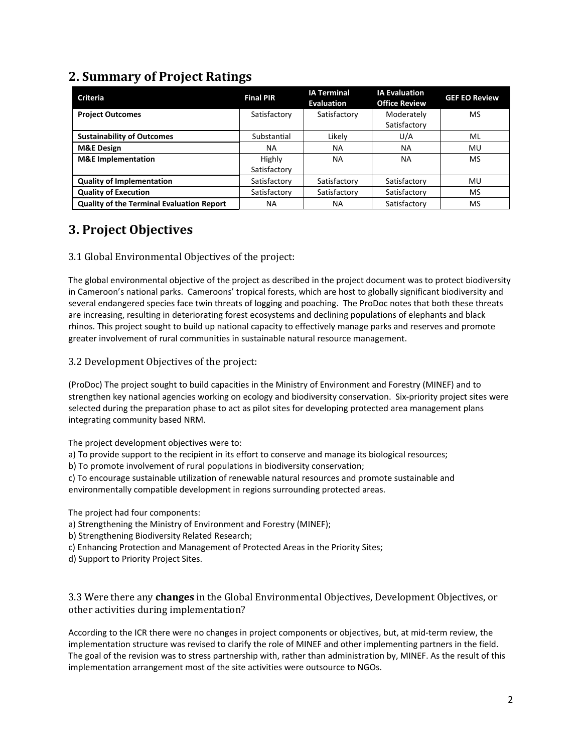## **2. Summary of Project Ratings**

| <b>Criteria</b>                                  | <b>Final PIR</b> | <b>IA Terminal</b><br><b>Evaluation</b> | <b>IA Evaluation</b><br><b>Office Review</b> | <b>GEF EO Review</b> |
|--------------------------------------------------|------------------|-----------------------------------------|----------------------------------------------|----------------------|
| <b>Project Outcomes</b>                          | Satisfactory     | Satisfactory                            | Moderately                                   | MS                   |
|                                                  |                  |                                         | Satisfactory                                 |                      |
| <b>Sustainability of Outcomes</b>                | Substantial      | Likely                                  | U/A                                          | ML                   |
| <b>M&amp;E Design</b>                            | NA.              | <b>NA</b>                               | <b>NA</b>                                    | MU                   |
| <b>M&amp;E</b> Implementation                    | Highly           | <b>NA</b>                               | <b>NA</b>                                    | MS                   |
|                                                  | Satisfactory     |                                         |                                              |                      |
| <b>Quality of Implementation</b>                 | Satisfactory     | Satisfactory                            | Satisfactory                                 | MU                   |
| <b>Quality of Execution</b>                      | Satisfactory     | Satisfactory                            | Satisfactory                                 | <b>MS</b>            |
| <b>Quality of the Terminal Evaluation Report</b> | ΝA               | ΝA                                      | Satisfactory                                 | MS                   |

## **3. Project Objectives**

#### 3.1 Global Environmental Objectives of the project:

The global environmental objective of the project as described in the project document was to protect biodiversity in Cameroon's national parks. Cameroons' tropical forests, which are host to globally significant biodiversity and several endangered species face twin threats of logging and poaching. The ProDoc notes that both these threats are increasing, resulting in deteriorating forest ecosystems and declining populations of elephants and black rhinos. This project sought to build up national capacity to effectively manage parks and reserves and promote greater involvement of rural communities in sustainable natural resource management.

#### 3.2 Development Objectives of the project:

(ProDoc) The project sought to build capacities in the Ministry of Environment and Forestry (MINEF) and to strengthen key national agencies working on ecology and biodiversity conservation. Six-priority project sites were selected during the preparation phase to act as pilot sites for developing protected area management plans integrating community based NRM.

The project development objectives were to:

a) To provide support to the recipient in its effort to conserve and manage its biological resources;

b) To promote involvement of rural populations in biodiversity conservation;

c) To encourage sustainable utilization of renewable natural resources and promote sustainable and environmentally compatible development in regions surrounding protected areas.

The project had four components:

- a) Strengthening the Ministry of Environment and Forestry (MINEF);
- b) Strengthening Biodiversity Related Research;
- c) Enhancing Protection and Management of Protected Areas in the Priority Sites;
- d) Support to Priority Project Sites.

3.3 Were there any **changes** in the Global Environmental Objectives, Development Objectives, or other activities during implementation?

According to the ICR there were no changes in project components or objectives, but, at mid-term review, the implementation structure was revised to clarify the role of MINEF and other implementing partners in the field. The goal of the revision was to stress partnership with, rather than administration by, MINEF. As the result of this implementation arrangement most of the site activities were outsource to NGOs.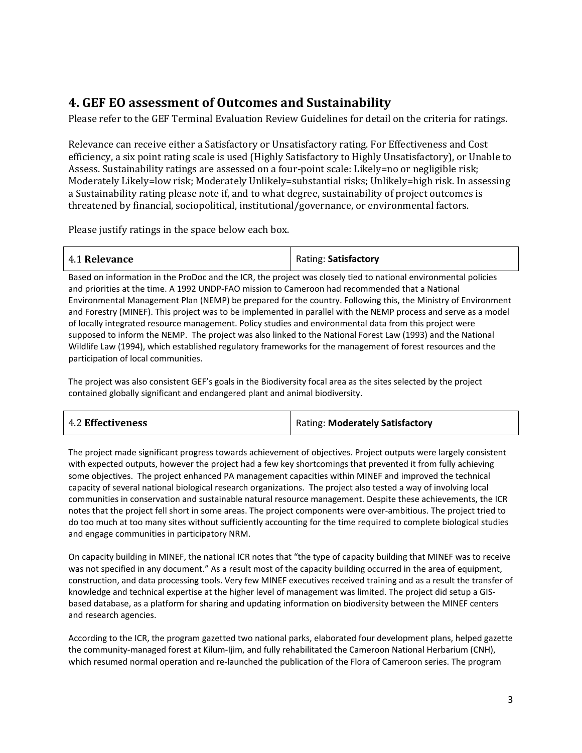## **4. GEF EO assessment of Outcomes and Sustainability**

Please refer to the GEF Terminal Evaluation Review Guidelines for detail on the criteria for ratings.

Relevance can receive either a Satisfactory or Unsatisfactory rating. For Effectiveness and Cost efficiency, a six point rating scale is used (Highly Satisfactory to Highly Unsatisfactory), or Unable to Assess. Sustainability ratings are assessed on a four-point scale: Likely=no or negligible risk; Moderately Likely=low risk; Moderately Unlikely=substantial risks; Unlikely=high risk. In assessing a Sustainability rating please note if, and to what degree, sustainability of project outcomes is threatened by financial, sociopolitical, institutional/governance, or environmental factors.

Please justify ratings in the space below each box.

| 4.1 Relevance | Rating: Satisfactory |
|---------------|----------------------|
|               |                      |

Based on information in the ProDoc and the ICR, the project was closely tied to national environmental policies and priorities at the time. A 1992 UNDP-FAO mission to Cameroon had recommended that a National Environmental Management Plan (NEMP) be prepared for the country. Following this, the Ministry of Environment and Forestry (MINEF). This project was to be implemented in parallel with the NEMP process and serve as a model of locally integrated resource management. Policy studies and environmental data from this project were supposed to inform the NEMP. The project was also linked to the National Forest Law (1993) and the National Wildlife Law (1994), which established regulatory frameworks for the management of forest resources and the participation of local communities.

The project was also consistent GEF's goals in the Biodiversity focal area as the sites selected by the project contained globally significant and endangered plant and animal biodiversity.

| <b>4.2 Effectiveness</b> | Rating: Moderately Satisfactory |
|--------------------------|---------------------------------|
|--------------------------|---------------------------------|

The project made significant progress towards achievement of objectives. Project outputs were largely consistent with expected outputs, however the project had a few key shortcomings that prevented it from fully achieving some objectives. The project enhanced PA management capacities within MINEF and improved the technical capacity of several national biological research organizations. The project also tested a way of involving local communities in conservation and sustainable natural resource management. Despite these achievements, the ICR notes that the project fell short in some areas. The project components were over-ambitious. The project tried to do too much at too many sites without sufficiently accounting for the time required to complete biological studies and engage communities in participatory NRM.

On capacity building in MINEF, the national ICR notes that "the type of capacity building that MINEF was to receive was not specified in any document." As a result most of the capacity building occurred in the area of equipment, construction, and data processing tools. Very few MINEF executives received training and as a result the transfer of knowledge and technical expertise at the higher level of management was limited. The project did setup a GISbased database, as a platform for sharing and updating information on biodiversity between the MINEF centers and research agencies.

According to the ICR, the program gazetted two national parks, elaborated four development plans, helped gazette the community-managed forest at Kilum-Ijim, and fully rehabilitated the Cameroon National Herbarium (CNH), which resumed normal operation and re-launched the publication of the Flora of Cameroon series. The program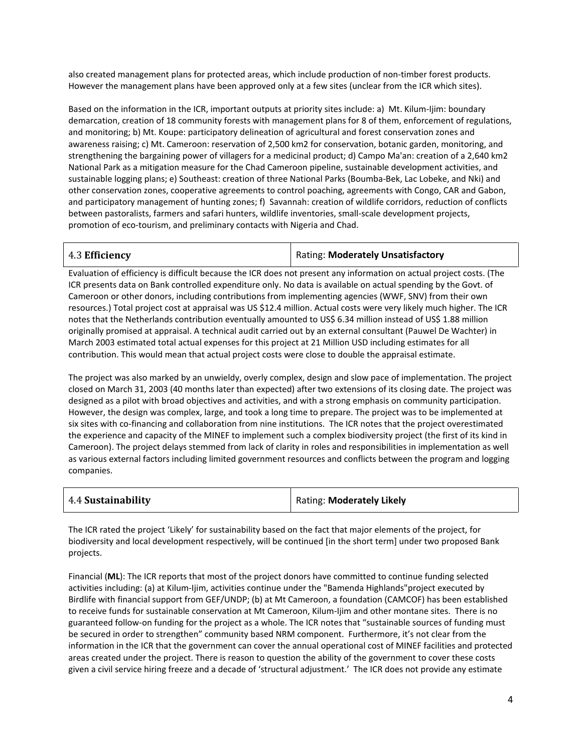also created management plans for protected areas, which include production of non-timber forest products. However the management plans have been approved only at a few sites (unclear from the ICR which sites).

Based on the information in the ICR, important outputs at priority sites include: a) Mt. Kilum-Ijim: boundary demarcation, creation of 18 community forests with management plans for 8 of them, enforcement of regulations, and monitoring; b) Mt. Koupe: participatory delineation of agricultural and forest conservation zones and awareness raising; c) Mt. Cameroon: reservation of 2,500 km2 for conservation, botanic garden, monitoring, and strengthening the bargaining power of villagers for a medicinal product; d) Campo Ma'an: creation of a 2,640 km2 National Park as a mitigation measure for the Chad Cameroon pipeline, sustainable development activities, and sustainable logging plans; e) Southeast: creation of three National Parks (Boumba-Bek, Lac Lobeke, and Nki) and other conservation zones, cooperative agreements to control poaching, agreements with Congo, CAR and Gabon, and participatory management of hunting zones; f) Savannah: creation of wildlife corridors, reduction of conflicts between pastoralists, farmers and safari hunters, wildlife inventories, small-scale development projects, promotion of eco-tourism, and preliminary contacts with Nigeria and Chad.

4.3 **Efficiency** Rating: **Moderately Unsatisfactory**

Evaluation of efficiency is difficult because the ICR does not present any information on actual project costs. (The ICR presents data on Bank controlled expenditure only. No data is available on actual spending by the Govt. of Cameroon or other donors, including contributions from implementing agencies (WWF, SNV) from their own resources.) Total project cost at appraisal was US \$12.4 million. Actual costs were very likely much higher. The ICR notes that the Netherlands contribution eventually amounted to US\$ 6.34 million instead of US\$ 1.88 million originally promised at appraisal. A technical audit carried out by an external consultant (Pauwel De Wachter) in March 2003 estimated total actual expenses for this project at 21 Million USD including estimates for all contribution. This would mean that actual project costs were close to double the appraisal estimate.

The project was also marked by an unwieldy, overly complex, design and slow pace of implementation. The project closed on March 31, 2003 (40 months later than expected) after two extensions of its closing date. The project was designed as a pilot with broad objectives and activities, and with a strong emphasis on community participation. However, the design was complex, large, and took a long time to prepare. The project was to be implemented at six sites with co-financing and collaboration from nine institutions. The ICR notes that the project overestimated the experience and capacity of the MINEF to implement such a complex biodiversity project (the first of its kind in Cameroon). The project delays stemmed from lack of clarity in roles and responsibilities in implementation as well as various external factors including limited government resources and conflicts between the program and logging companies.

| 4.4 Sustainability | Rating: Moderately Likely |
|--------------------|---------------------------|
|--------------------|---------------------------|

The ICR rated the project 'Likely' for sustainability based on the fact that major elements of the project, for biodiversity and local development respectively, will be continued [in the short term] under two proposed Bank projects.

Financial (**ML**): The ICR reports that most of the project donors have committed to continue funding selected activities including: (a) at Kilum-Ijim, activities continue under the "Bamenda Highlands"project executed by Birdlife with financial support from GEF/UNDP; (b) at Mt Cameroon, a foundation (CAMCOF) has been established to receive funds for sustainable conservation at Mt Cameroon, Kilum-Ijim and other montane sites. There is no guaranteed follow-on funding for the project as a whole. The ICR notes that "sustainable sources of funding must be secured in order to strengthen" community based NRM component. Furthermore, it's not clear from the information in the ICR that the government can cover the annual operational cost of MINEF facilities and protected areas created under the project. There is reason to question the ability of the government to cover these costs given a civil service hiring freeze and a decade of 'structural adjustment.' The ICR does not provide any estimate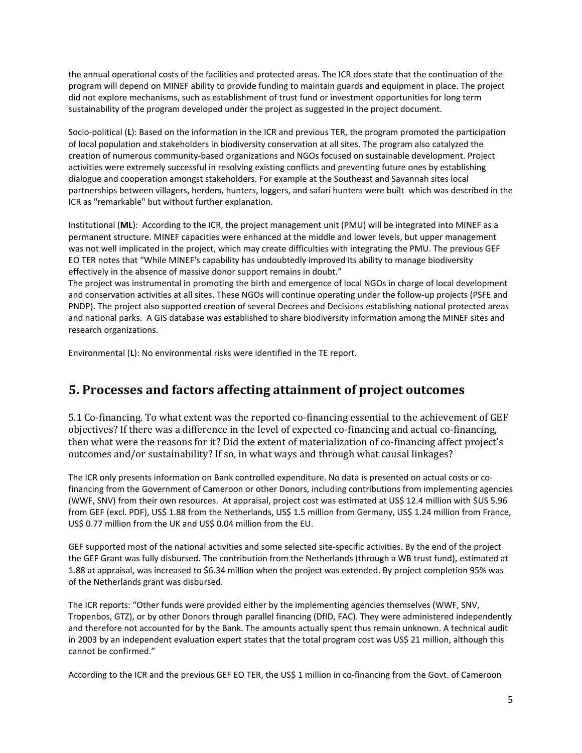the annual operational costs of the facilities and protected areas. The ICR does state that the continuation of the program will depend on MINEF ability to provide funding to maintain guards and equipment in place. The project did not explore mechanisms, such as establishment of trust fund or investment opportunities for long term sustainability of the program developed under the project as suggested in the project document.

Socio-political (**L**): Based on the information in the ICR and previous TER, the program promoted the participation of local population and stakeholders in biodiversity conservation at all sites. The program also catalyzed the creation of numerous community-based organizations and NGOs focused on sustainable development. Project activities were extremely successful in resolving existing conflicts and preventing future ones by establishing dialogue and cooperation amongst stakeholders. For example at the Southeast and Savannah sites local partnerships between villagers, herders, hunters, loggers, and safari hunters were built which was described in the ICR as "remarkable" but without further explanation.

Institutional (**ML**): According to the ICR, the project management unit (PMU) will be integrated into MINEF as a permanent structure. MINEF capacities were enhanced at the middle and lower levels, but upper management was not well implicated in the project, which may create difficulties with integrating the PMU. The previous GEF EO TER notes that "While MINEF's capability has undoubtedly improved its ability to manage biodiversity effectively in the absence of massive donor support remains in doubt."

The project was instrumental in promoting the birth and emergence of local NGOs in charge of local development and conservation activities at all sites. These NGOs will continue operating under the follow-up projects (PSFE and PNDP). The project also supported creation of several Decrees and Decisions establishing national protected areas and national parks. A GIS database was established to share biodiversity information among the MINEF sites and research organizations.

Environmental (**L**): No environmental risks were identified in the TE report.

#### **5. Processes and factors affecting attainment of project outcomes**

5.1 Co-financing. To what extent was the reported co-financing essential to the achievement of GEF objectives? If there was a difference in the level of expected co-financing and actual co-financing, then what were the reasons for it? Did the extent of materialization of co-financing affect project's outcomes and/or sustainability? If so, in what ways and through what causal linkages?

The ICR only presents information on Bank controlled expenditure. No data is presented on actual costs or cofinancing from the Government of Cameroon or other Donors, including contributions from implementing agencies (WWF, SNV) from their own resources. At appraisal, project cost was estimated at US\$ 12.4 million with \$US 5.96 from GEF (excl. PDF), US\$ 1.88 from the Netherlands, US\$ 1.5 million from Germany, US\$ 1.24 million from France, US\$ 0.77 million from the UK and US\$ 0.04 million from the EU.

GEF supported most of the national activities and some selected site-specific activities. By the end of the project the GEF Grant was fully disbursed. The contribution from the Netherlands (through a WB trust fund), estimated at 1.88 at appraisal, was increased to \$6.34 million when the project was extended. By project completion 95% was of the Netherlands grant was disbursed.

The ICR reports: "Other funds were provided either by the implementing agencies themselves (WWF, SNV, Tropenbos, GTZ), or by other Donors through parallel financing (DfID, FAC). They were administered independently and therefore not accounted for by the Bank. The amounts actually spent thus remain unknown. A technical audit in 2003 by an independent evaluation expert states that the total program cost was US\$ 21 million, although this cannot be confirmed."

According to the ICR and the previous GEF EO TER, the US\$ 1 million in co-financing from the Govt. of Cameroon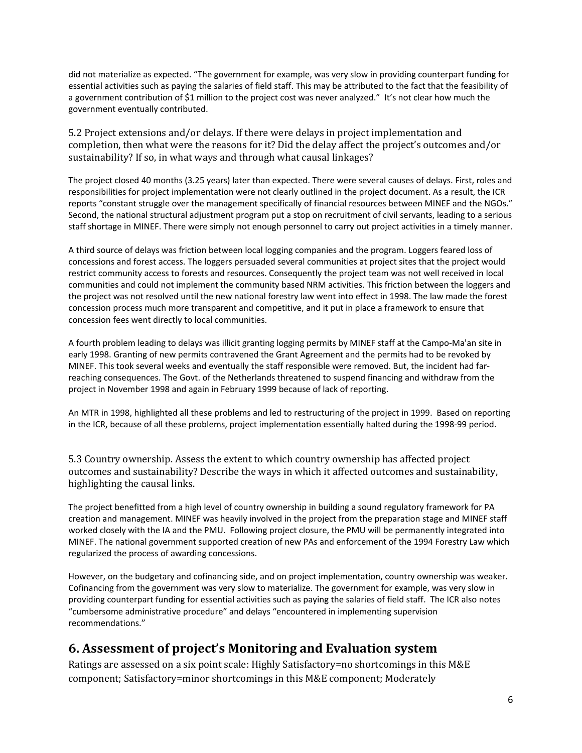did not materialize as expected. "The government for example, was very slow in providing counterpart funding for essential activities such as paying the salaries of field staff. This may be attributed to the fact that the feasibility of a government contribution of \$1 million to the project cost was never analyzed." It's not clear how much the government eventually contributed.

5.2 Project extensions and/or delays. If there were delays in project implementation and completion, then what were the reasons for it? Did the delay affect the project's outcomes and/or sustainability? If so, in what ways and through what causal linkages?

The project closed 40 months (3.25 years) later than expected. There were several causes of delays. First, roles and responsibilities for project implementation were not clearly outlined in the project document. As a result, the ICR reports "constant struggle over the management specifically of financial resources between MINEF and the NGOs." Second, the national structural adjustment program put a stop on recruitment of civil servants, leading to a serious staff shortage in MINEF. There were simply not enough personnel to carry out project activities in a timely manner.

A third source of delays was friction between local logging companies and the program. Loggers feared loss of concessions and forest access. The loggers persuaded several communities at project sites that the project would restrict community access to forests and resources. Consequently the project team was not well received in local communities and could not implement the community based NRM activities. This friction between the loggers and the project was not resolved until the new national forestry law went into effect in 1998. The law made the forest concession process much more transparent and competitive, and it put in place a framework to ensure that concession fees went directly to local communities.

A fourth problem leading to delays was illicit granting logging permits by MINEF staff at the Campo-Ma'an site in early 1998. Granting of new permits contravened the Grant Agreement and the permits had to be revoked by MINEF. This took several weeks and eventually the staff responsible were removed. But, the incident had farreaching consequences. The Govt. of the Netherlands threatened to suspend financing and withdraw from the project in November 1998 and again in February 1999 because of lack of reporting.

An MTR in 1998, highlighted all these problems and led to restructuring of the project in 1999. Based on reporting in the ICR, because of all these problems, project implementation essentially halted during the 1998-99 period.

5.3 Country ownership. Assess the extent to which country ownership has affected project outcomes and sustainability? Describe the ways in which it affected outcomes and sustainability, highlighting the causal links.

The project benefitted from a high level of country ownership in building a sound regulatory framework for PA creation and management. MINEF was heavily involved in the project from the preparation stage and MINEF staff worked closely with the IA and the PMU. Following project closure, the PMU will be permanently integrated into MINEF. The national government supported creation of new PAs and enforcement of the 1994 Forestry Law which regularized the process of awarding concessions.

However, on the budgetary and cofinancing side, and on project implementation, country ownership was weaker. Cofinancing from the government was very slow to materialize. The government for example, was very slow in providing counterpart funding for essential activities such as paying the salaries of field staff. The ICR also notes "cumbersome administrative procedure" and delays "encountered in implementing supervision recommendations."

## **6. Assessment of project's Monitoring and Evaluation system**

Ratings are assessed on a six point scale: Highly Satisfactory=no shortcomings in this M&E component; Satisfactory=minor shortcomings in this M&E component; Moderately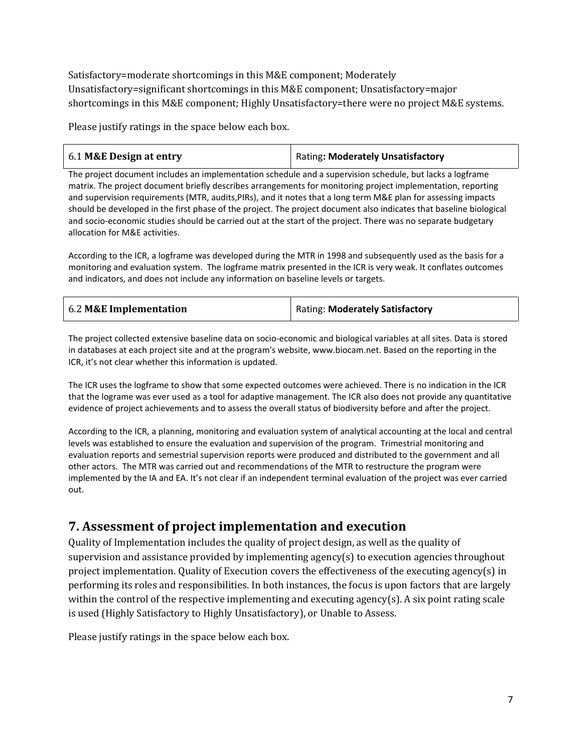Satisfactory=moderate shortcomings in this M&E component; Moderately Unsatisfactory=significant shortcomings in this M&E component; Unsatisfactory=major shortcomings in this M&E component; Highly Unsatisfactory=there were no project M&E systems.

Please justify ratings in the space below each box.

| 6.1 M&E Design at entry | <b>Rating: Moderately Unsatisfactory</b> |
|-------------------------|------------------------------------------|
|-------------------------|------------------------------------------|

The project document includes an implementation schedule and a supervision schedule, but lacks a logframe matrix. The project document briefly describes arrangements for monitoring project implementation, reporting and supervision requirements (MTR, audits,PIRs), and it notes that a long term M&E plan for assessing impacts should be developed in the first phase of the project. The project document also indicates that baseline biological and socio-economic studies should be carried out at the start of the project. There was no separate budgetary allocation for M&E activities.

According to the ICR, a logframe was developed during the MTR in 1998 and subsequently used as the basis for a monitoring and evaluation system. The logframe matrix presented in the ICR is very weak. It conflates outcomes and indicators, and does not include any information on baseline levels or targets.

| 6.2 M&E Implementation | Rating: Moderately Satisfactory |
|------------------------|---------------------------------|
|------------------------|---------------------------------|

The project collected extensive baseline data on socio-economic and biological variables at all sites. Data is stored in databases at each project site and at the program's website, www.biocam.net. Based on the reporting in the ICR, it's not clear whether this information is updated.

The ICR uses the logframe to show that some expected outcomes were achieved. There is no indication in the ICR that the lograme was ever used as a tool for adaptive management. The ICR also does not provide any quantitative evidence of project achievements and to assess the overall status of biodiversity before and after the project.

According to the ICR, a planning, monitoring and evaluation system of analytical accounting at the local and central levels was established to ensure the evaluation and supervision of the program. Trimestrial monitoring and evaluation reports and semestrial supervision reports were produced and distributed to the government and all other actors. The MTR was carried out and recommendations of the MTR to restructure the program were implemented by the IA and EA. It's not clear if an independent terminal evaluation of the project was ever carried out.

## **7. Assessment of project implementation and execution**

Quality of Implementation includes the quality of project design, as well as the quality of supervision and assistance provided by implementing agency(s) to execution agencies throughout project implementation. Quality of Execution covers the effectiveness of the executing agency(s) in performing its roles and responsibilities. In both instances, the focus is upon factors that are largely within the control of the respective implementing and executing agency(s). A six point rating scale is used (Highly Satisfactory to Highly Unsatisfactory), or Unable to Assess.

Please justify ratings in the space below each box.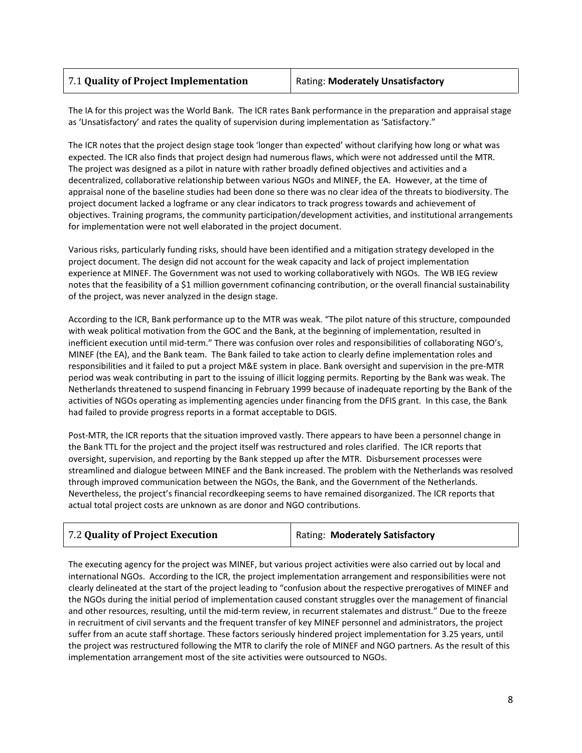| 7.1 Quality of Project Implementation | <b>Rating: Moderately Unsatisfactory</b> |
|---------------------------------------|------------------------------------------|
|---------------------------------------|------------------------------------------|

The IA for this project was the World Bank. The ICR rates Bank performance in the preparation and appraisal stage as 'Unsatisfactory' and rates the quality of supervision during implementation as 'Satisfactory."

The ICR notes that the project design stage took 'longer than expected' without clarifying how long or what was expected. The ICR also finds that project design had numerous flaws, which were not addressed until the MTR. The project was designed as a pilot in nature with rather broadly defined objectives and activities and a decentralized, collaborative relationship between various NGOs and MINEF, the EA. However, at the time of appraisal none of the baseline studies had been done so there was no clear idea of the threats to biodiversity. The project document lacked a logframe or any clear indicators to track progress towards and achievement of objectives. Training programs, the community participation/development activities, and institutional arrangements for implementation were not well elaborated in the project document.

Various risks, particularly funding risks, should have been identified and a mitigation strategy developed in the project document. The design did not account for the weak capacity and lack of project implementation experience at MINEF. The Government was not used to working collaboratively with NGOs. The WB IEG review notes that the feasibility of a \$1 million government cofinancing contribution, or the overall financial sustainability of the project, was never analyzed in the design stage.

According to the ICR, Bank performance up to the MTR was weak. "The pilot nature of this structure, compounded with weak political motivation from the GOC and the Bank, at the beginning of implementation, resulted in inefficient execution until mid-term." There was confusion over roles and responsibilities of collaborating NGO's, MINEF (the EA), and the Bank team. The Bank failed to take action to clearly define implementation roles and responsibilities and it failed to put a project M&E system in place. Bank oversight and supervision in the pre-MTR period was weak contributing in part to the issuing of illicit logging permits. Reporting by the Bank was weak. The Netherlands threatened to suspend financing in February 1999 because of inadequate reporting by the Bank of the activities of NGOs operating as implementing agencies under financing from the DFIS grant. In this case, the Bank had failed to provide progress reports in a format acceptable to DGIS.

Post-MTR, the ICR reports that the situation improved vastly. There appears to have been a personnel change in the Bank TTL for the project and the project itself was restructured and roles clarified. The ICR reports that oversight, supervision, and reporting by the Bank stepped up after the MTR. Disbursement processes were streamlined and dialogue between MINEF and the Bank increased. The problem with the Netherlands was resolved through improved communication between the NGOs, the Bank, and the Government of the Netherlands. Nevertheless, the project's financial recordkeeping seems to have remained disorganized. The ICR reports that actual total project costs are unknown as are donor and NGO contributions.

The executing agency for the project was MINEF, but various project activities were also carried out by local and international NGOs. According to the ICR, the project implementation arrangement and responsibilities were not clearly delineated at the start of the project leading to "confusion about the respective prerogatives of MINEF and the NGOs during the initial period of implementation caused constant struggles over the management of financial and other resources, resulting, until the mid-term review, in recurrent stalemates and distrust." Due to the freeze in recruitment of civil servants and the frequent transfer of key MINEF personnel and administrators, the project suffer from an acute staff shortage. These factors seriously hindered project implementation for 3.25 years, until the project was restructured following the MTR to clarify the role of MINEF and NGO partners. As the result of this implementation arrangement most of the site activities were outsourced to NGOs.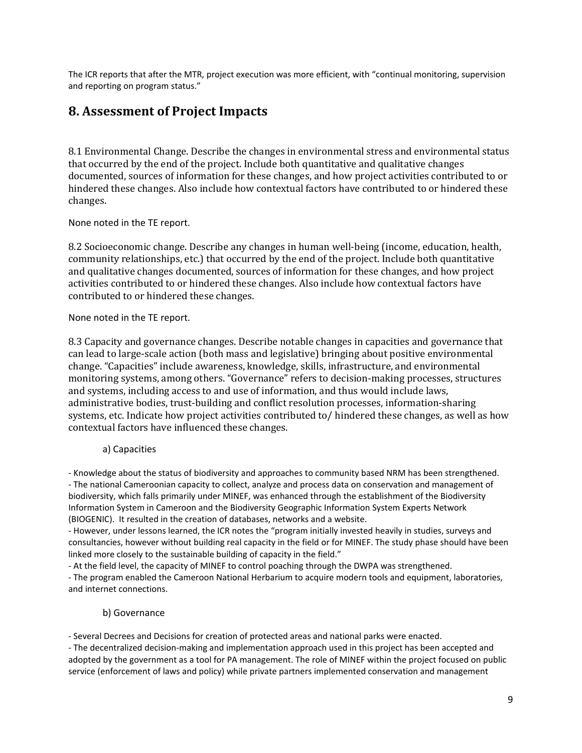The ICR reports that after the MTR, project execution was more efficient, with "continual monitoring, supervision and reporting on program status."

## **8. Assessment of Project Impacts**

8.1 Environmental Change. Describe the changes in environmental stress and environmental status that occurred by the end of the project. Include both quantitative and qualitative changes documented, sources of information for these changes, and how project activities contributed to or hindered these changes. Also include how contextual factors have contributed to or hindered these changes.

None noted in the TE report.

8.2 Socioeconomic change. Describe any changes in human well-being (income, education, health, community relationships, etc.) that occurred by the end of the project. Include both quantitative and qualitative changes documented, sources of information for these changes, and how project activities contributed to or hindered these changes. Also include how contextual factors have contributed to or hindered these changes.

#### None noted in the TE report.

8.3 Capacity and governance changes. Describe notable changes in capacities and governance that can lead to large-scale action (both mass and legislative) bringing about positive environmental change. "Capacities" include awareness, knowledge, skills, infrastructure, and environmental monitoring systems, among others. "Governance" refers to decision-making processes, structures and systems, including access to and use of information, and thus would include laws, administrative bodies, trust-building and conflict resolution processes, information-sharing systems, etc. Indicate how project activities contributed to/ hindered these changes, as well as how contextual factors have influenced these changes.

#### a) Capacities

- Knowledge about the status of biodiversity and approaches to community based NRM has been strengthened. - The national Cameroonian capacity to collect, analyze and process data on conservation and management of biodiversity, which falls primarily under MINEF, was enhanced through the establishment of the Biodiversity Information System in Cameroon and the Biodiversity Geographic Information System Experts Network (BIOGENIC). It resulted in the creation of databases, networks and a website.

- However, under lessons learned, the ICR notes the "program initially invested heavily in studies, surveys and consultancies, however without building real capacity in the field or for MINEF. The study phase should have been linked more closely to the sustainable building of capacity in the field."

- At the field level, the capacity of MINEF to control poaching through the DWPA was strengthened.

- The program enabled the Cameroon National Herbarium to acquire modern tools and equipment, laboratories, and internet connections.

#### b) Governance

- Several Decrees and Decisions for creation of protected areas and national parks were enacted.

- The decentralized decision-making and implementation approach used in this project has been accepted and adopted by the government as a tool for PA management. The role of MINEF within the project focused on public service (enforcement of laws and policy) while private partners implemented conservation and management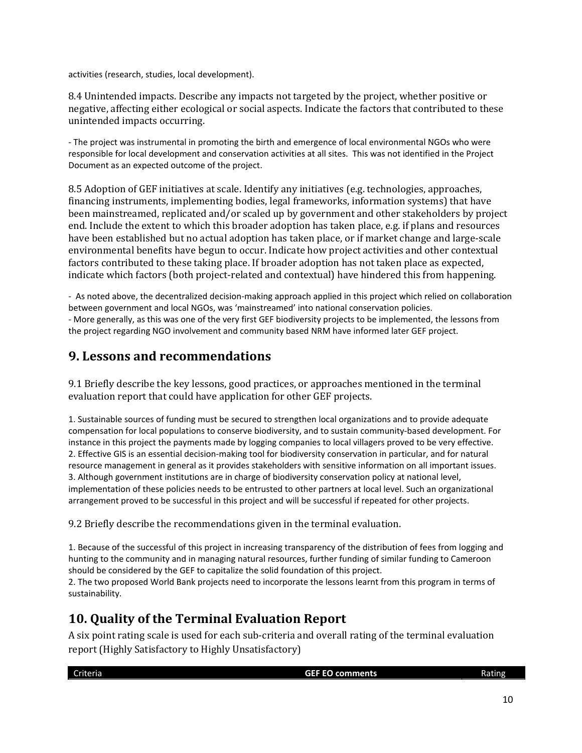activities (research, studies, local development).

8.4 Unintended impacts. Describe any impacts not targeted by the project, whether positive or negative, affecting either ecological or social aspects. Indicate the factors that contributed to these unintended impacts occurring.

- The project was instrumental in promoting the birth and emergence of local environmental NGOs who were responsible for local development and conservation activities at all sites. This was not identified in the Project Document as an expected outcome of the project.

8.5 Adoption of GEF initiatives at scale. Identify any initiatives (e.g. technologies, approaches, financing instruments, implementing bodies, legal frameworks, information systems) that have been mainstreamed, replicated and/or scaled up by government and other stakeholders by project end. Include the extent to which this broader adoption has taken place, e.g. if plans and resources have been established but no actual adoption has taken place, or if market change and large-scale environmental benefits have begun to occur. Indicate how project activities and other contextual factors contributed to these taking place. If broader adoption has not taken place as expected, indicate which factors (both project-related and contextual) have hindered this from happening.

- As noted above, the decentralized decision-making approach applied in this project which relied on collaboration between government and local NGOs, was 'mainstreamed' into national conservation policies. - More generally, as this was one of the very first GEF biodiversity projects to be implemented, the lessons from the project regarding NGO involvement and community based NRM have informed later GEF project.

#### **9. Lessons and recommendations**

9.1 Briefly describe the key lessons, good practices, or approaches mentioned in the terminal evaluation report that could have application for other GEF projects.

1. Sustainable sources of funding must be secured to strengthen local organizations and to provide adequate compensation for local populations to conserve biodiversity, and to sustain community-based development. For instance in this project the payments made by logging companies to local villagers proved to be very effective. 2. Effective GIS is an essential decision-making tool for biodiversity conservation in particular, and for natural resource management in general as it provides stakeholders with sensitive information on all important issues. 3. Although government institutions are in charge of biodiversity conservation policy at national level, implementation of these policies needs to be entrusted to other partners at local level. Such an organizational arrangement proved to be successful in this project and will be successful if repeated for other projects.

9.2 Briefly describe the recommendations given in the terminal evaluation.

1. Because of the successful of this project in increasing transparency of the distribution of fees from logging and hunting to the community and in managing natural resources, further funding of similar funding to Cameroon should be considered by the GEF to capitalize the solid foundation of this project.

2. The two proposed World Bank projects need to incorporate the lessons learnt from this program in terms of sustainability.

## **10. Quality of the Terminal Evaluation Report**

A six point rating scale is used for each sub-criteria and overall rating of the terminal evaluation report (Highly Satisfactory to Highly Unsatisfactory)

| Criteria | <b>GEF EO comments</b> | Rating |
|----------|------------------------|--------|
|          |                        |        |